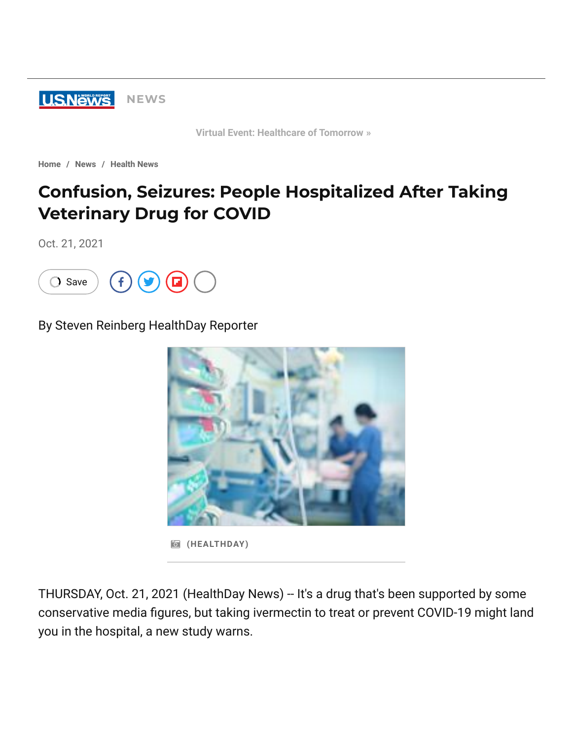

**[Virtual Event: Healthcare of Tomorrow »](https://www.usnews.com/news/live-events/healthcare-of-tomorrow)**

**[Home](https://www.usnews.com/) / [News](https://www.usnews.com/news) / [Health News](https://www.usnews.com/news/health-news)**

# **Confusion, Seizures: People Hospitalized After Taking Veterinary Drug for COVID**

Oct. 21, 2021



By Steven Reinberg HealthDay Reporter



**(HEALTHDAY)**

THURSDAY, Oct. 21, 2021 (HealthDay News) -- It's a drug that's been supported by some conservative media figures, but taking ivermectin to treat or prevent COVID-19 might land you in the hospital, a new study warns.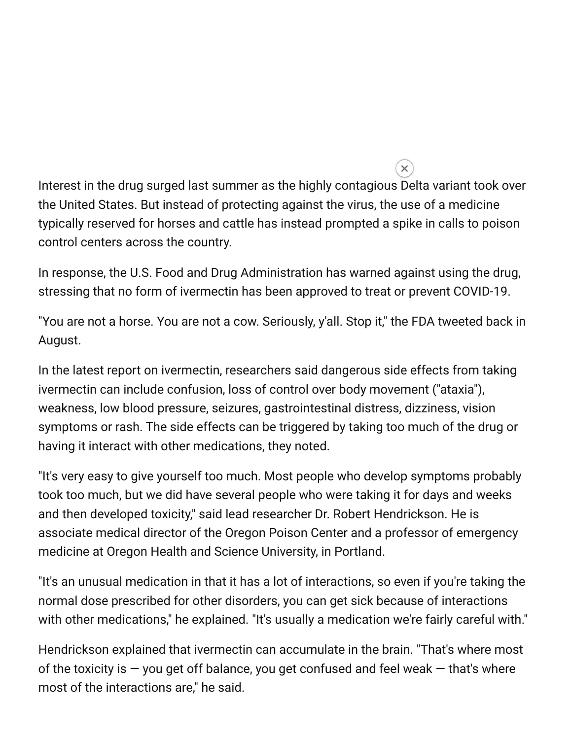Interest in the drug surged last summer as the highly contagious Delta variant took over the United States. But instead of protecting against the virus, the use of a medicine typically reserved for horses and cattle has instead prompted a spike in calls to poison control centers across the country.

 $\overline{\mathsf{x}}$ 

In response, the U.S. Food and Drug Administration has warned against using the drug, stressing that no form of ivermectin has been approved to treat or prevent COVID-19.

"You are not a horse. You are not a cow. Seriously, y'all. Stop it," the FDA tweeted back in August.

In the latest report on ivermectin, researchers said dangerous side effects from taking ivermectin can include confusion, loss of control over body movement ("ataxia"), weakness, low blood pressure, seizures, gastrointestinal distress, dizziness, vision symptoms or rash. The side effects can be triggered by taking too much of the drug or having it interact with other medications, they noted.

"It's very easy to give yourself too much. Most people who develop symptoms probably took too much, but we did have several people who were taking it for days and weeks and then developed toxicity," said lead researcher Dr. Robert Hendrickson. He is associate medical director of the Oregon Poison Center and a professor of emergency medicine at Oregon Health and Science University, in Portland.

"It's an unusual medication in that it has a lot of interactions, so even if you're taking the normal dose prescribed for other disorders, you can get sick because of interactions with other medications," he explained. "It's usually a medication we're fairly careful with."

Hendrickson explained that ivermectin can accumulate in the brain. "That's where most of the toxicity is  $-$  you get off balance, you get confused and feel weak  $-$  that's where most of the interactions are," he said.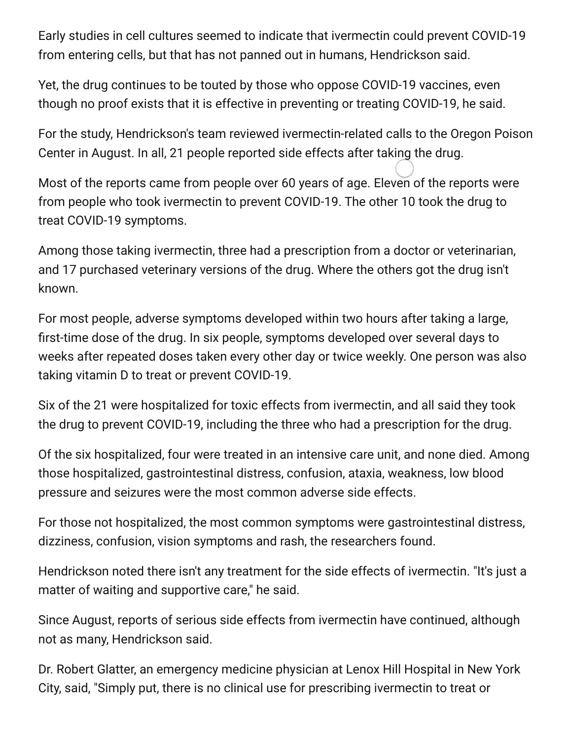Early studies in cell cultures seemed to indicate that ivermectin could prevent COVID-19 from entering cells, but that has not panned out in humans, Hendrickson said.

Yet, the drug continues to be touted by those who oppose COVID-19 vaccines, even though no proof exists that it is effective in preventing or treating COVID-19, he said.

For the study, Hendrickson's team reviewed ivermectin-related calls to the Oregon Poison Center in August. In all, 21 people reported side effects after taking the drug.

Most of the reports came from people over 60 years of age. Eleven of the reports were from people who took ivermectin to prevent COVID-19. The other 10 took the drug to treat COVID-19 symptoms.

Among those taking ivermectin, three had a prescription from a doctor or veterinarian, and 17 purchased veterinary versions of the drug. Where the others got the drug isn't known.

For most people, adverse symptoms developed within two hours after taking a large, first-time dose of the drug. In six people, symptoms developed over several days to weeks after repeated doses taken every other day or twice weekly. One person was also taking vitamin D to treat or prevent COVID-19.

Six of the 21 were hospitalized for toxic effects from ivermectin, and all said they took the drug to prevent COVID-19, including the three who had a prescription for the drug.

Of the six hospitalized, four were treated in an intensive care unit, and none died. Among those hospitalized, gastrointestinal distress, confusion, ataxia, weakness, low blood pressure and seizures were the most common adverse side effects.

For those not hospitalized, the most common symptoms were gastrointestinal distress, dizziness, confusion, vision symptoms and rash, the researchers found.

Hendrickson noted there isn't any treatment for the side effects of ivermectin. "It's just a matter of waiting and supportive care," he said.

Since August, reports of serious side effects from ivermectin have continued, although not as many, Hendrickson said.

Dr. Robert Glatter, an emergency medicine physician at Lenox Hill Hospital in New York City, said, "Simply put, there is no clinical use for prescribing ivermectin to treat or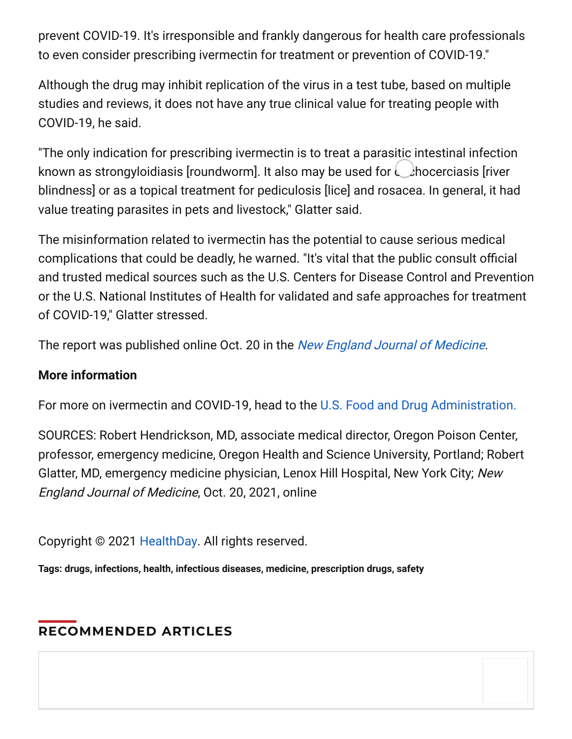prevent COVID-19. It's irresponsible and frankly dangerous for health care professionals to even consider prescribing ivermectin for treatment or prevention of COVID-19."

Although the drug may inhibit replication of the virus in a test tube, based on multiple studies and reviews, it does not have any true clinical value for treating people with COVID-19, he said.

"The only indication for prescribing ivermectin is to treat a parasitic intestinal infection known as strongyloidiasis [roundworm]. It also may be used for  $\bigcup$ hocerciasis [river blindness] or as a topical treatment for pediculosis [lice] and rosacea. In general, it had value treating parasites in pets and livestock," Glatter said.

The misinformation related to ivermectin has the potential to cause serious medical complications that could be deadly, he warned. "It's vital that the public consult official and trusted medical sources such as the U.S. Centers for Disease Control and Prevention or the U.S. National Institutes of Health for validated and safe approaches for treatment of COVID-19," Glatter stressed.

The report was published online Oct. 20 in the [New England Journal of Medicine](https://www.nejm.org/doi/full/10.1056/NEJMc2114907).

### **More information**

For more on ivermectin and COVID-19, head to the [U.S. Food and Drug Administration.](https://www.fda.gov/consumers/consumer-updates/why-you-should-not-use-ivermectin-treat-or-prevent-covid-19)

SOURCES: Robert Hendrickson, MD, associate medical director, Oregon Poison Center, professor, emergency medicine, Oregon Health and Science University, Portland; Robert Glatter, MD, emergency medicine physician, Lenox Hill Hospital, New York City; New England Journal of Medicine, Oct. 20, 2021, online

Copyright © 2021 [HealthDay](http://www.healthday.com/). All rights reserved.

**Tags: [drugs,](https://www.usnews.com/topics/subjects/drugs) [infections](https://www.usnews.com/topics/subjects/infections), [health,](https://www.usnews.com/topics/subjects/health) [infectious diseases,](https://www.usnews.com/topics/subjects/infectious-diseases) [medicine](https://www.usnews.com/topics/subjects/medicine), [prescription drugs,](https://www.usnews.com/topics/subjects/prescription-drugs) [safety](https://www.usnews.com/topics/subjects/safety)**

## **RECOMMENDED ARTICLES**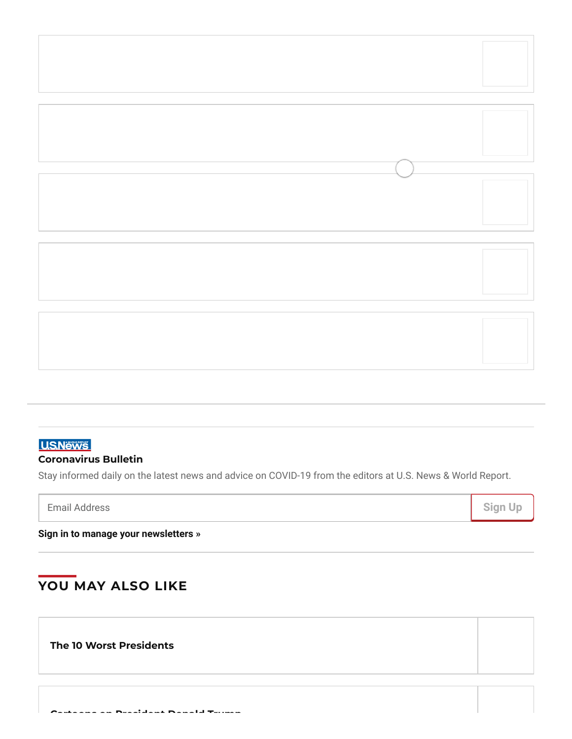

### **USNews**

#### **Coronavirus Bulletin**

Stay informed daily on the latest news and advice on COVID-19 from the editors at U.S. News & World Report.

**[Sign in to manage your newsletters »](https://www.usnews.com/emailprefs/preference-center)**

## **YOU MAY ALSO LIKE**

**The 10 Worst [Presidents](https://www.usnews.com/news/special-reports/the-worst-presidents/slideshows/the-10-worst-presidents)**

**Cartoons on [President](https://www.usnews.com/cartoons/donald-trump) Donald Trump**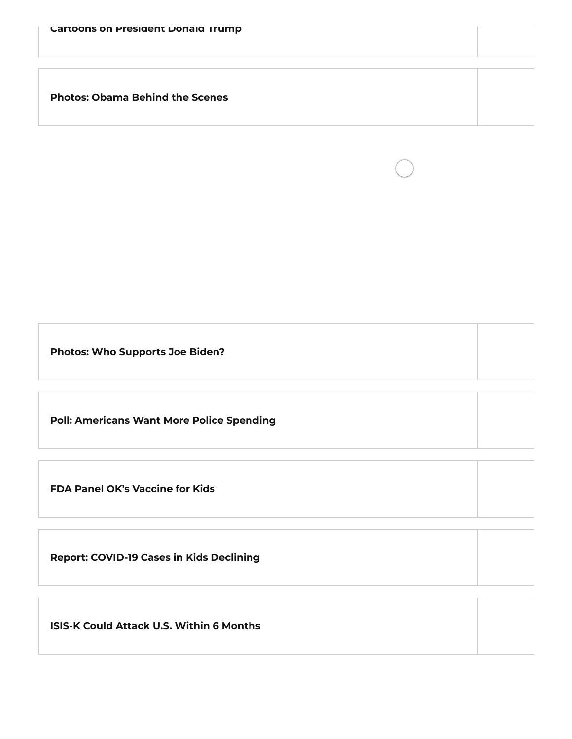**[Photos:](https://www.usnews.com/photos/obama-behind-the-scenes) Obama Behind the Scenes**

**Photos: Who [Supports](https://www.usnews.com/news/elections/photos/2020/03/11/photos-who-supported-joe-biden-in-the-democratic-primaries) Joe Biden?**

**Poll: [Americans](https://www.usnews.com/news/national-news/articles/2021-10-26/the-share-of-americans-who-want-more-police-spending-is-growing-poll-says) Want More Police Spending**

**FDA Panel OK's [Vaccine](https://www.usnews.com/news/health-news/articles/2021-10-26/fda-committee-endorses-pfizer-covid-19-vaccine-for-kids-5-11) for Kids**

**Report: COVID-19 Cases in Kids [Declining](https://www.usnews.com/news/health-news/articles/2021-10-26/report-weekly-us-covid-19-infections-in-kids-decrease-for-7th-week-in-a-row)**

**ISIS-K Could Attack U.S. Within 6 [Months](https://www.usnews.com/news/national-news/articles/2021-10-26/isis-in-afghanistan-could-attack-us-within-6-months-us-intelligence)**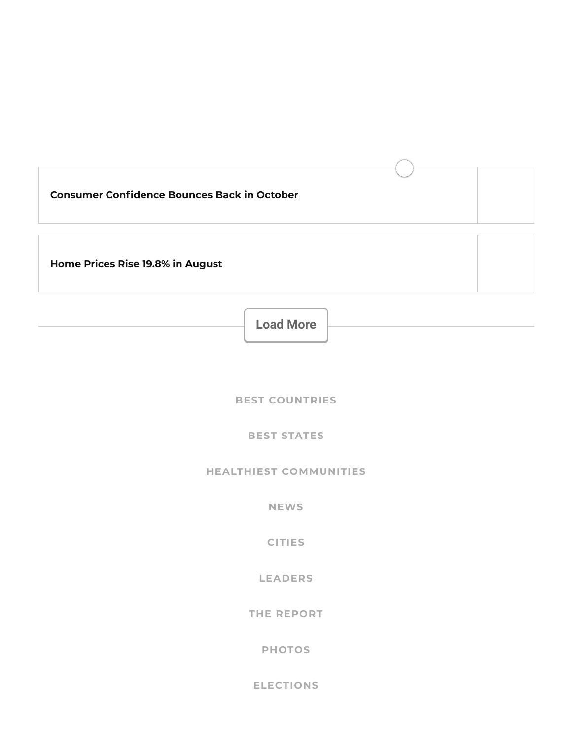| <b>Consumer Confidence Bounces Back in October</b> |  |
|----------------------------------------------------|--|
| Home Prices Rise 19.8% in August                   |  |

**Load More**

**BEST [COUNTRIES](https://www.usnews.com/news/best-countries)**

**BEST [STATES](https://www.usnews.com/news/best-states)**

**HEALTHIEST [COMMUNITIES](https://www.usnews.com/news/healthiest-communities)**

**[NEWS](https://www.usnews.com/news)**

**[CITIES](https://www.usnews.com/news/cities)**

**[LEADERS](https://www.usnews.com/news/leaders)**

**THE [REPORT](https://www.usnews.com/news/the-report)**

**[PHOTOS](https://www.usnews.com/photos)**

**[ELECTIONS](https://www.usnews.com/news/elections)**